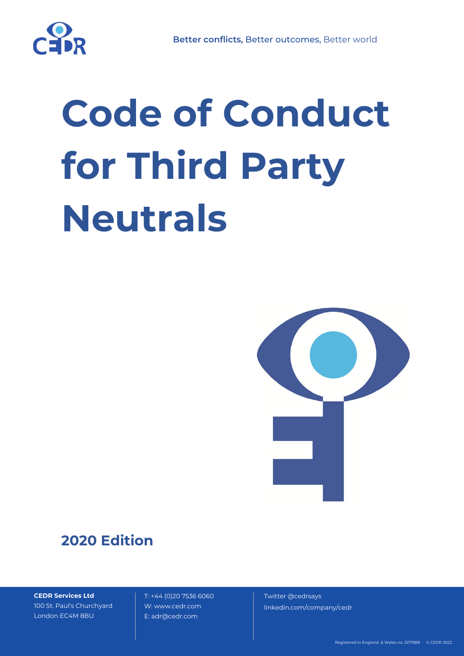# **Code of Conduct for Third Party Neutrals**



## **2020 Edition**

**CEDR Services Ltd** 100 St. Paul's Churchyard London EC4M 8BU

 T: +44 (0)20 7536 6060 W: www.cedr.com E: adr@cedr.com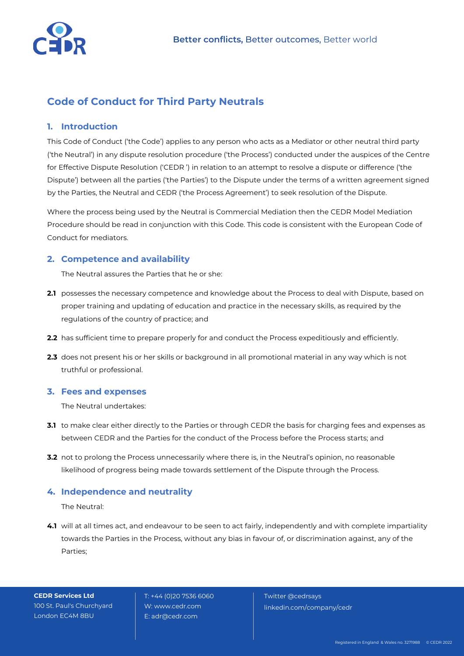

### **Code of Conduct for Third Party Neutrals**

#### **1. Introduction**

This Code of Conduct ('the Code') applies to any person who acts as a Mediator or other neutral third party ('the Neutral') in any dispute resolution procedure ('the Process') conducted under the auspices of the Centre for Effective Dispute Resolution ('CEDR ') in relation to an attempt to resolve a dispute or difference ('the Dispute') between all the parties ('the Parties') to the Dispute under the terms of a written agreement signed by the Parties, the Neutral and CEDR ('the Process Agreement') to seek resolution of the Dispute.

Where the process being used by the Neutral is Commercial Mediation then the CEDR Model Mediation Procedure should be read in conjunction with this Code. This code is consistent with the European Code of Conduct for mediators.

#### **2. Competence and availability**

The Neutral assures the Parties that he or she:

- **2.1** possesses the necessary competence and knowledge about the Process to deal with Dispute, based on proper training and updating of education and practice in the necessary skills, as required by the regulations of the country of practice; and
- **2.2** has sufficient time to prepare properly for and conduct the Process expeditiously and efficiently.
- **2.3** does not present his or her skills or background in all promotional material in any way which is not truthful or professional.

#### **3. Fees and expenses**

The Neutral undertakes:

- **3.1** to make clear either directly to the Parties or through CEDR the basis for charging fees and expenses as between CEDR and the Parties for the conduct of the Process before the Process starts; and
- **3.2** not to prolong the Process unnecessarily where there is, in the Neutral's opinion, no reasonable likelihood of progress being made towards settlement of the Dispute through the Process.

#### **4. Independence and neutrality**

The Neutral:

**4.1** will at all times act, and endeavour to be seen to act fairly, independently and with complete impartiality towards the Parties in the Process, without any bias in favour of, or discrimination against, any of the Parties;

**CEDR Services Ltd** 100 St. Paul's Churchyard London EC4M 8BU

 T: +44 (0)20 7536 6060 W: www.cedr.com E: adr@cedr.com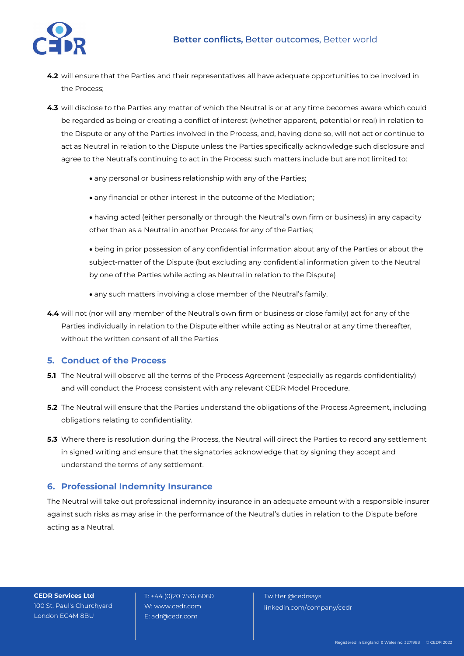

- **4.2** will ensure that the Parties and their representatives all have adequate opportunities to be involved in the Process;
- **4.3** will disclose to the Parties any matter of which the Neutral is or at any time becomes aware which could be regarded as being or creating a conflict of interest (whether apparent, potential or real) in relation to the Dispute or any of the Parties involved in the Process, and, having done so, will not act or continue to act as Neutral in relation to the Dispute unless the Parties specifically acknowledge such disclosure and agree to the Neutral's continuing to act in the Process: such matters include but are not limited to:
	- any personal or business relationship with any of the Parties;
	- any financial or other interest in the outcome of the Mediation;
	- having acted (either personally or through the Neutral's own firm or business) in any capacity other than as a Neutral in another Process for any of the Parties;
	- being in prior possession of any confidential information about any of the Parties or about the subject-matter of the Dispute (but excluding any confidential information given to the Neutral by one of the Parties while acting as Neutral in relation to the Dispute)
	- any such matters involving a close member of the Neutral's family.
- **4.4** will not (nor will any member of the Neutral's own firm or business or close family) act for any of the Parties individually in relation to the Dispute either while acting as Neutral or at any time thereafter, without the written consent of all the Parties

#### **5. Conduct of the Process**

- **5.1** The Neutral will observe all the terms of the Process Agreement (especially as regards confidentiality) and will conduct the Process consistent with any relevant CEDR Model Procedure.
- **5.2** The Neutral will ensure that the Parties understand the obligations of the Process Agreement, including obligations relating to confidentiality.
- **5.3** Where there is resolution during the Process, the Neutral will direct the Parties to record any settlement in signed writing and ensure that the signatories acknowledge that by signing they accept and understand the terms of any settlement.

#### **6. Professional Indemnity Insurance**

The Neutral will take out professional indemnity insurance in an adequate amount with a responsible insurer against such risks as may arise in the performance of the Neutral's duties in relation to the Dispute before acting as a Neutral.

**CEDR Services Ltd** 100 St. Paul's Churchyard London EC4M 8BU

 T: +44 (0)20 7536 6060 W: www.cedr.com E: adr@cedr.com